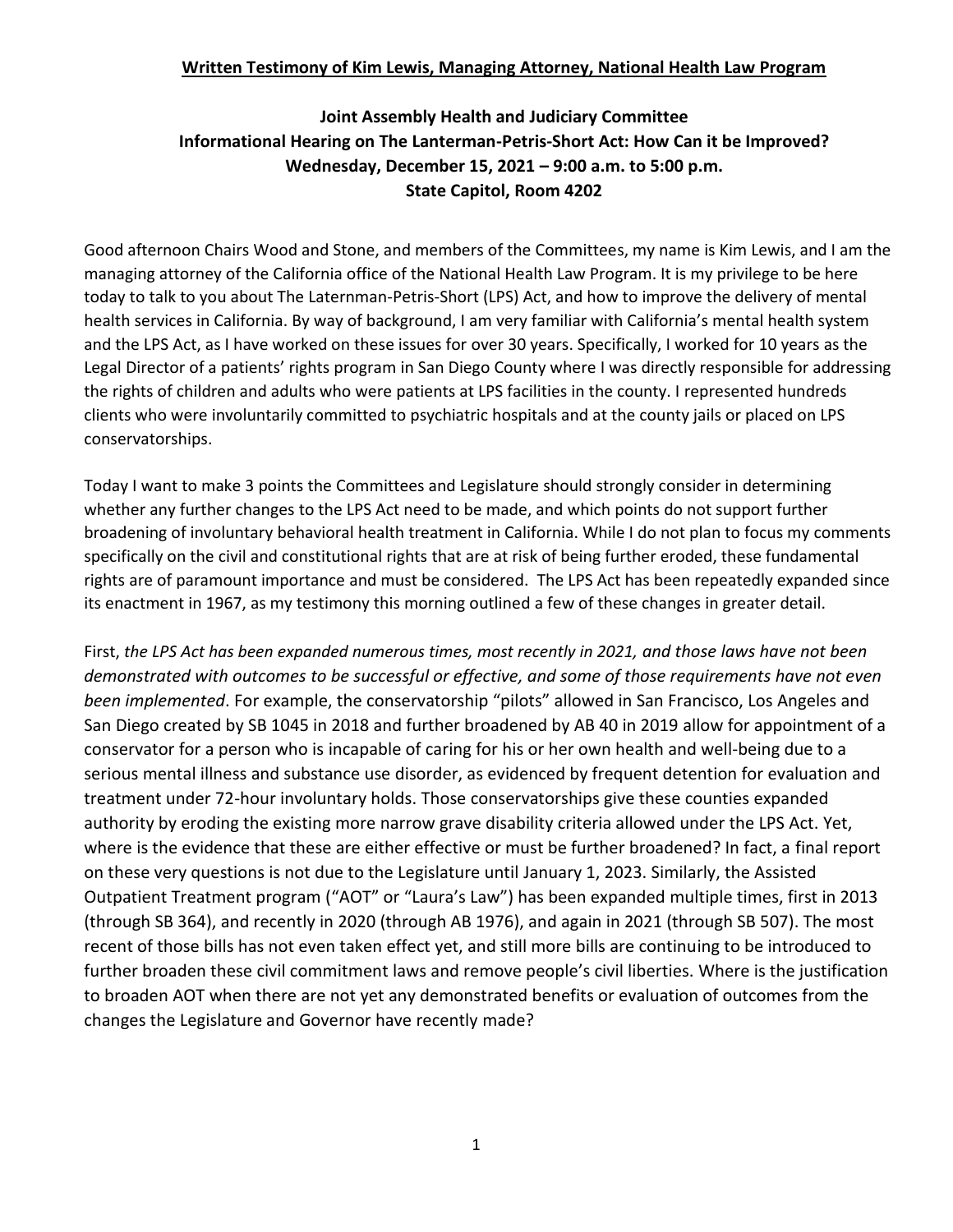## **Written Testimony of Kim Lewis, Managing Attorney, National Health Law Program**

## **Joint Assembly Health and Judiciary Committee Informational Hearing on The Lanterman-Petris-Short Act: How Can it be Improved? Wednesday, December 15, 2021 – 9:00 a.m. to 5:00 p.m. State Capitol, Room 4202**

Good afternoon Chairs Wood and Stone, and members of the Committees, my name is Kim Lewis, and I am the managing attorney of the California office of the National Health Law Program. It is my privilege to be here today to talk to you about The Laternman-Petris-Short (LPS) Act, and how to improve the delivery of mental health services in California. By way of background, I am very familiar with California's mental health system and the LPS Act, as I have worked on these issues for over 30 years. Specifically, I worked for 10 years as the Legal Director of a patients' rights program in San Diego County where I was directly responsible for addressing the rights of children and adults who were patients at LPS facilities in the county. I represented hundreds clients who were involuntarily committed to psychiatric hospitals and at the county jails or placed on LPS conservatorships.

Today I want to make 3 points the Committees and Legislature should strongly consider in determining whether any further changes to the LPS Act need to be made, and which points do not support further broadening of involuntary behavioral health treatment in California. While I do not plan to focus my comments specifically on the civil and constitutional rights that are at risk of being further eroded, these fundamental rights are of paramount importance and must be considered. The LPS Act has been repeatedly expanded since its enactment in 1967, as my testimony this morning outlined a few of these changes in greater detail.

First, *the LPS Act has been expanded numerous times, most recently in 2021, and those laws have not been demonstrated with outcomes to be successful or effective, and some of those requirements have not even been implemented*. For example, the conservatorship "pilots" allowed in San Francisco, Los Angeles and San Diego created by SB 1045 in 2018 and further broadened by AB 40 in 2019 allow for appointment of a conservator for a person who is incapable of caring for his or her own health and well-being due to a serious mental illness and substance use disorder, as evidenced by frequent detention for evaluation and treatment under 72-hour involuntary holds. Those conservatorships give these counties expanded authority by eroding the existing more narrow grave disability criteria allowed under the LPS Act. Yet, where is the evidence that these are either effective or must be further broadened? In fact, a final report on these very questions is not due to the Legislature until January 1, 2023. Similarly, the Assisted Outpatient Treatment program ("AOT" or "Laura's Law") has been expanded multiple times, first in 2013 (through SB 364), and recently in 2020 (through AB 1976), and again in 2021 (through SB 507). The most recent of those bills has not even taken effect yet, and still more bills are continuing to be introduced to further broaden these civil commitment laws and remove people's civil liberties. Where is the justification to broaden AOT when there are not yet any demonstrated benefits or evaluation of outcomes from the changes the Legislature and Governor have recently made?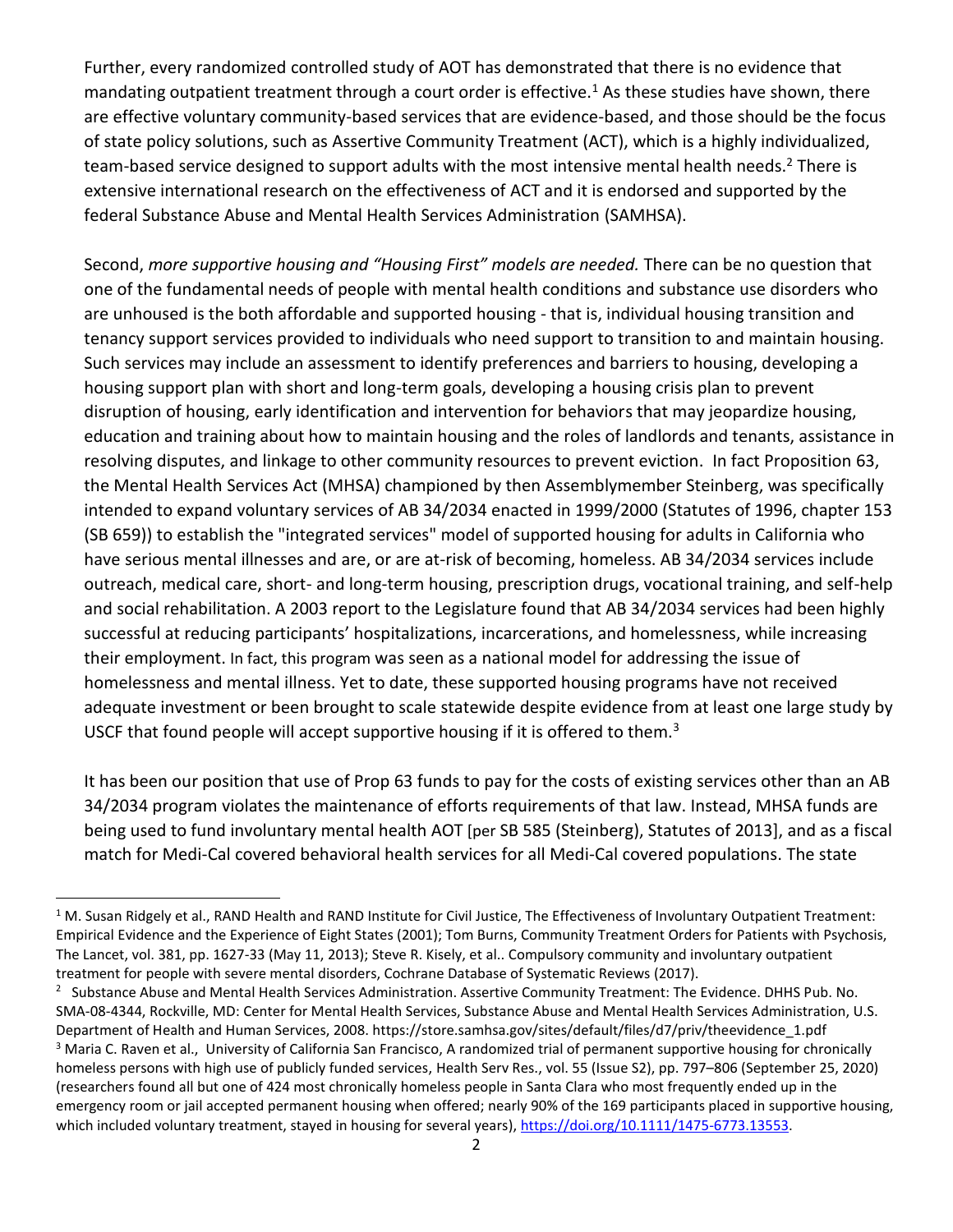Further, every randomized controlled study of AOT has demonstrated that there is no evidence that mandating outpatient treatment through a court order is effective.<sup>1</sup> As these studies have shown, there are effective voluntary community-based services that are evidence-based, and those should be the focus of state policy solutions, such as Assertive Community Treatment (ACT), which is a highly individualized, team-based service designed to support adults with the most intensive mental health needs.<sup>2</sup> There is extensive international research on the effectiveness of ACT and it is endorsed and supported by the federal Substance Abuse and Mental Health Services Administration (SAMHSA).

Second, *more supportive housing and "Housing First" models are needed.* There can be no question that one of the fundamental needs of people with mental health conditions and substance use disorders who are unhoused is the both affordable and supported housing - that is, individual housing transition and tenancy support services provided to individuals who need support to transition to and maintain housing. Such services may include an assessment to identify preferences and barriers to housing, developing a housing support plan with short and long-term goals, developing a housing crisis plan to prevent disruption of housing, early identification and intervention for behaviors that may jeopardize housing, education and training about how to maintain housing and the roles of landlords and tenants, assistance in resolving disputes, and linkage to other community resources to prevent eviction. In fact Proposition 63, the Mental Health Services Act (MHSA) championed by then Assemblymember Steinberg, was specifically intended to expand voluntary services of AB 34/2034 enacted in 1999/2000 (Statutes of 1996, chapter 153 (SB 659)) to establish the "integrated services" model of supported housing for adults in California who have serious mental illnesses and are, or are at-risk of becoming, homeless. AB 34/2034 services include outreach, medical care, short- and long-term housing, prescription drugs, vocational training, and self-help and social rehabilitation. A 2003 report to the Legislature found that AB 34/2034 services had been highly successful at reducing participants' hospitalizations, incarcerations, and homelessness, while increasing their employment. In fact, this program was seen as a national model for addressing the issue of homelessness and mental illness. Yet to date, these supported housing programs have not received adequate investment or been brought to scale statewide despite evidence from at least one large study by USCF that found people will accept supportive housing if it is offered to them.<sup>3</sup>

It has been our position that use of Prop 63 funds to pay for the costs of existing services other than an AB 34/2034 program violates the maintenance of efforts requirements of that law. Instead, MHSA funds are being used to fund involuntary mental health AOT [per SB 585 (Steinberg), Statutes of 2013], and as a fiscal match for Medi-Cal covered behavioral health services for all Medi-Cal covered populations. The state

 $\overline{\phantom{a}}$ 

 $1$  M. Susan Ridgely et al., RAND Health and RAND Institute for Civil Justice, The Effectiveness of Involuntary Outpatient Treatment: Empirical Evidence and the Experience of Eight States (2001); Tom Burns, Community Treatment Orders for Patients with Psychosis, The Lancet, vol. 381, pp. 1627-33 (May 11, 2013); Steve R. Kisely, et al.. Compulsory community and involuntary outpatient treatment for people with severe mental disorders, Cochrane Database of Systematic Reviews (2017).

<sup>&</sup>lt;sup>2</sup> Substance Abuse and Mental Health Services Administration. Assertive Community Treatment: The Evidence. DHHS Pub. No. SMA-08-4344, Rockville, MD: Center for Mental Health Services, Substance Abuse and Mental Health Services Administration, U.S. Department of Health and Human Services, 2008. https://store.samhsa.gov/sites/default/files/d7/priv/theevidence\_1.pdf <sup>3</sup> Maria C. Raven et al., University of California San Francisco, A randomized trial of permanent supportive housing for chronically homeless persons with high use of publicly funded services, Health Serv Res., vol. 55 (Issue S2), pp. 797–806 (September 25, 2020) (researchers found all but one of 424 most chronically homeless people in Santa Clara who most frequently ended up in the emergency room or jail accepted permanent housing when offered; nearly 90% of the 169 participants placed in supportive housing, which included voluntary treatment, stayed in housing for several years), [https://doi.org/10.1111/1475-6773.13553.](https://doi.org/10.1111/1475-6773.13553)